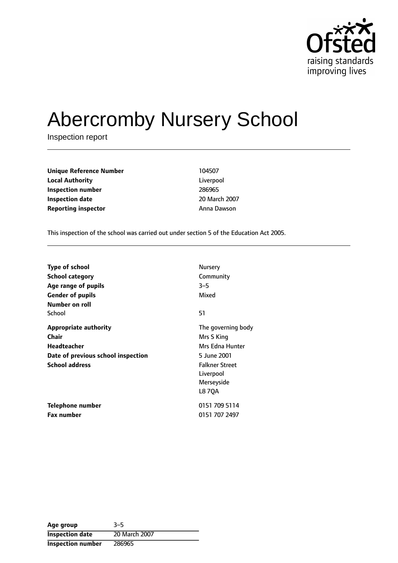

# Abercromby Nursery School

Inspection report

**Unique Reference Number** 104507 **Local Authority** Liverpool **Inspection number** 286965 **Inspection date** 20 March 2007 **Reporting inspector** Anna Dawson

This inspection of the school was carried out under section 5 of the Education Act 2005.

| <b>Type of school</b>              | Nursery               |
|------------------------------------|-----------------------|
| School category                    | Community             |
| Age range of pupils                | $3 - 5$               |
| <b>Gender of pupils</b>            | Mixed                 |
| Number on roll                     |                       |
| School                             | 51                    |
| <b>Appropriate authority</b>       | The governing body    |
| Chair                              | Mrs S King            |
| <b>Headteacher</b>                 | Mrs Edna Hunter       |
| Date of previous school inspection | 5 June 2001           |
| <b>School address</b>              | <b>Falkner Street</b> |
|                                    | Liverpool             |
|                                    | Merseyside            |
|                                    | <b>L870A</b>          |
| Telephone number                   | 0151 709 5114         |
| <b>Fax number</b>                  | 0151 707 2497         |

Age group 3-5 **Inspection date** 20 March 2007 **Inspection number** 286965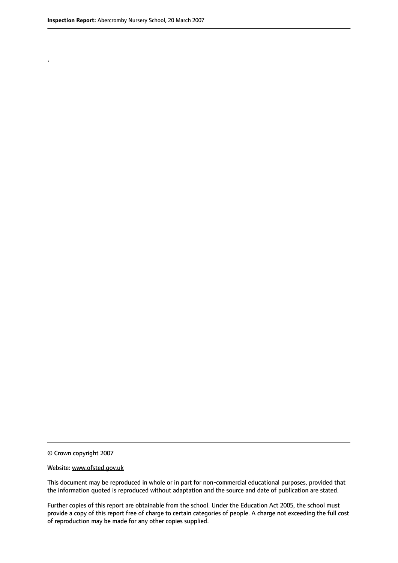.

© Crown copyright 2007

#### Website: www.ofsted.gov.uk

This document may be reproduced in whole or in part for non-commercial educational purposes, provided that the information quoted is reproduced without adaptation and the source and date of publication are stated.

Further copies of this report are obtainable from the school. Under the Education Act 2005, the school must provide a copy of this report free of charge to certain categories of people. A charge not exceeding the full cost of reproduction may be made for any other copies supplied.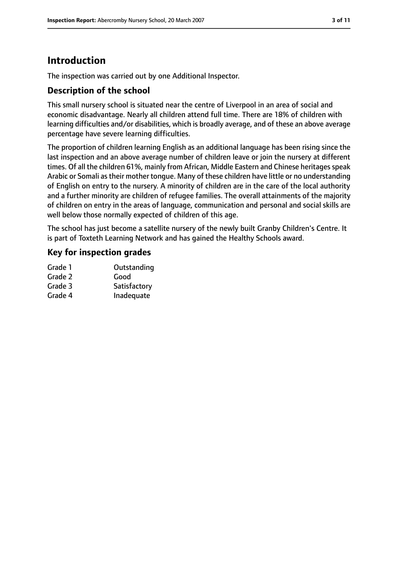## **Introduction**

The inspection was carried out by one Additional Inspector.

## **Description of the school**

This small nursery school is situated near the centre of Liverpool in an area of social and economic disadvantage. Nearly all children attend full time. There are 18% of children with learning difficulties and/or disabilities, which is broadly average, and of these an above average percentage have severe learning difficulties.

The proportion of children learning English as an additional language has been rising since the last inspection and an above average number of children leave or join the nursery at different times. Of all the children 61%, mainly from African, Middle Eastern and Chinese heritages speak Arabic or Somali astheir mother tongue. Many of these children have little or no understanding of English on entry to the nursery. A minority of children are in the care of the local authority and a further minority are children of refugee families. The overall attainments of the majority of children on entry in the areas of language, communication and personal and social skills are well below those normally expected of children of this age.

The school has just become a satellite nursery of the newly built Granby Children's Centre. It is part of Toxteth Learning Network and has gained the Healthy Schools award.

## **Key for inspection grades**

| Grade 1 | Outstanding  |
|---------|--------------|
| Grade 2 | Good         |
| Grade 3 | Satisfactory |
| Grade 4 | Inadequate   |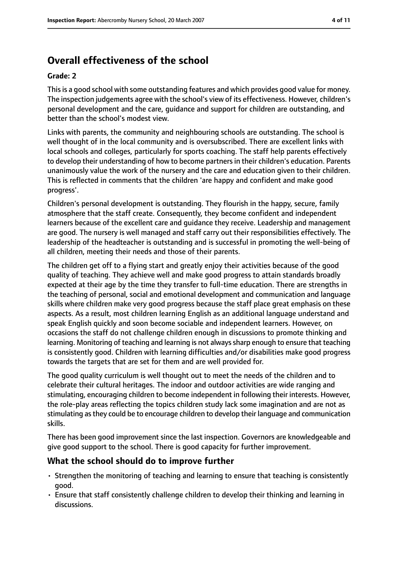# **Overall effectiveness of the school**

#### **Grade: 2**

Thisis a good school with some outstanding features and which provides good value for money. The inspection judgements agree with the school's view of its effectiveness. However, children's personal development and the care, guidance and support for children are outstanding, and better than the school's modest view.

Links with parents, the community and neighbouring schools are outstanding. The school is well thought of in the local community and is oversubscribed. There are excellent links with local schools and colleges, particularly for sports coaching. The staff help parents effectively to develop their understanding of how to become partnersin their children's education. Parents unanimously value the work of the nursery and the care and education given to their children. This is reflected in comments that the children 'are happy and confident and make good progress'.

Children's personal development is outstanding. They flourish in the happy, secure, family atmosphere that the staff create. Consequently, they become confident and independent learners because of the excellent care and guidance they receive. Leadership and management are good. The nursery is well managed and staff carry out their responsibilities effectively. The leadership of the headteacher is outstanding and is successful in promoting the well-being of all children, meeting their needs and those of their parents.

The children get off to a flying start and greatly enjoy their activities because of the good quality of teaching. They achieve well and make good progress to attain standards broadly expected at their age by the time they transfer to full-time education. There are strengths in the teaching of personal, social and emotional development and communication and language skills where children make very good progress because the staff place great emphasis on these aspects. As a result, most children learning English as an additional language understand and speak English quickly and soon become sociable and independent learners. However, on occasions the staff do not challenge children enough in discussions to promote thinking and learning. Monitoring of teaching and learning is not always sharp enough to ensure that teaching is consistently good. Children with learning difficulties and/or disabilities make good progress towards the targets that are set for them and are well provided for.

The good quality curriculum is well thought out to meet the needs of the children and to celebrate their cultural heritages. The indoor and outdoor activities are wide ranging and stimulating, encouraging children to become independent in following their interests. However, the role-play areas reflecting the topics children study lack some imagination and are not as stimulating asthey could be to encourage children to develop their language and communication skills.

There has been good improvement since the last inspection. Governors are knowledgeable and give good support to the school. There is good capacity for further improvement.

#### **What the school should do to improve further**

- Strengthen the monitoring of teaching and learning to ensure that teaching is consistently good.
- Ensure that staff consistently challenge children to develop their thinking and learning in discussions.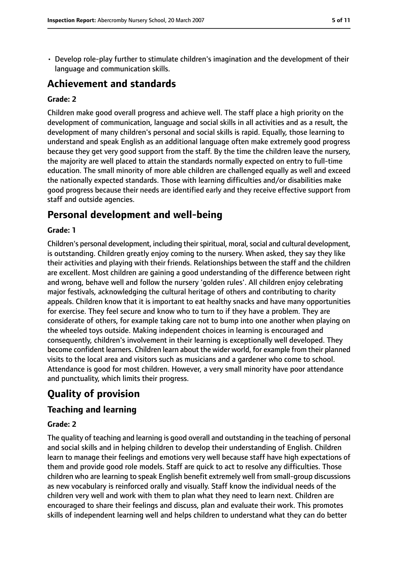• Develop role-play further to stimulate children's imagination and the development of their language and communication skills.

## **Achievement and standards**

#### **Grade: 2**

Children make good overall progress and achieve well. The staff place a high priority on the development of communication, language and social skills in all activities and as a result, the development of many children's personal and social skills is rapid. Equally, those learning to understand and speak English as an additional language often make extremely good progress because they get very good support from the staff. By the time the children leave the nursery, the majority are well placed to attain the standards normally expected on entry to full-time education. The small minority of more able children are challenged equally as well and exceed the nationally expected standards. Those with learning difficulties and/or disabilities make good progress because their needs are identified early and they receive effective support from staff and outside agencies.

## **Personal development and well-being**

#### **Grade: 1**

Children's personal development, including their spiritual, moral, social and cultural development, is outstanding. Children greatly enjoy coming to the nursery. When asked, they say they like their activities and playing with their friends. Relationships between the staff and the children are excellent. Most children are gaining a good understanding of the difference between right and wrong, behave well and follow the nursery 'golden rules'. All children enjoy celebrating major festivals, acknowledging the cultural heritage of others and contributing to charity appeals. Children know that it is important to eat healthy snacks and have many opportunities for exercise. They feel secure and know who to turn to if they have a problem. They are considerate of others, for example taking care not to bump into one another when playing on the wheeled toys outside. Making independent choices in learning is encouraged and consequently, children's involvement in their learning is exceptionally well developed. They become confident learners. Children learn about the wider world, for example from their planned visits to the local area and visitors such as musicians and a gardener who come to school. Attendance is good for most children. However, a very small minority have poor attendance and punctuality, which limits their progress.

# **Quality of provision**

#### **Teaching and learning**

#### **Grade: 2**

The quality of teaching and learning is good overall and outstanding in the teaching of personal and social skills and in helping children to develop their understanding of English. Children learn to manage their feelings and emotions very well because staff have high expectations of them and provide good role models. Staff are quick to act to resolve any difficulties. Those children who are learning to speak English benefit extremely well from small-group discussions as new vocabulary is reinforced orally and visually. Staff know the individual needs of the children very well and work with them to plan what they need to learn next. Children are encouraged to share their feelings and discuss, plan and evaluate their work. This promotes skills of independent learning well and helps children to understand what they can do better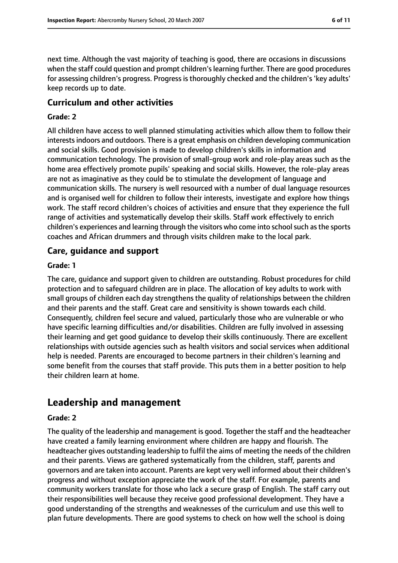next time. Although the vast majority of teaching is good, there are occasions in discussions when the staff could question and prompt children's learning further. There are good procedures for assessing children's progress. Progress is thoroughly checked and the children's 'key adults' keep records up to date.

#### **Curriculum and other activities**

#### **Grade: 2**

All children have access to well planned stimulating activities which allow them to follow their interests indoors and outdoors. There is a great emphasis on children developing communication and social skills. Good provision is made to develop children's skills in information and communication technology. The provision of small-group work and role-play areas such as the home area effectively promote pupils' speaking and social skills. However, the role-play areas are not as imaginative as they could be to stimulate the development of language and communication skills. The nursery is well resourced with a number of dual language resources and is organised well for children to follow their interests, investigate and explore how things work. The staff record children's choices of activities and ensure that they experience the full range of activities and systematically develop their skills. Staff work effectively to enrich children's experiences and learning through the visitors who come into school such as the sports coaches and African drummers and through visits children make to the local park.

#### **Care, guidance and support**

#### **Grade: 1**

The care, guidance and support given to children are outstanding. Robust procedures for child protection and to safeguard children are in place. The allocation of key adults to work with small groups of children each day strengthens the quality of relationships between the children and their parents and the staff. Great care and sensitivity is shown towards each child. Consequently, children feel secure and valued, particularly those who are vulnerable or who have specific learning difficulties and/or disabilities. Children are fully involved in assessing their learning and get good guidance to develop their skills continuously. There are excellent relationships with outside agencies such as health visitors and social services when additional help is needed. Parents are encouraged to become partners in their children's learning and some benefit from the courses that staff provide. This puts them in a better position to help their children learn at home.

## **Leadership and management**

#### **Grade: 2**

The quality of the leadership and management is good. Together the staff and the headteacher have created a family learning environment where children are happy and flourish. The headteacher gives outstanding leadership to fulfil the aims of meeting the needs of the children and their parents. Views are gathered systematically from the children, staff, parents and governors and are taken into account. Parents are kept very well informed about their children's progress and without exception appreciate the work of the staff. For example, parents and community workers translate for those who lack a secure grasp of English. The staff carry out their responsibilities well because they receive good professional development. They have a good understanding of the strengths and weaknesses of the curriculum and use this well to plan future developments. There are good systems to check on how well the school is doing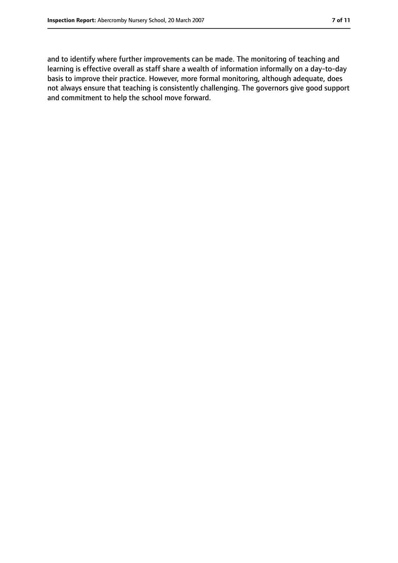and to identify where further improvements can be made. The monitoring of teaching and learning is effective overall as staff share a wealth of information informally on a day-to-day basis to improve their practice. However, more formal monitoring, although adequate, does not always ensure that teaching is consistently challenging. The governors give good support and commitment to help the school move forward.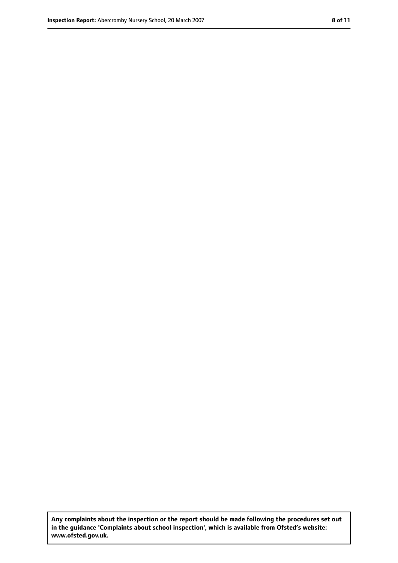**Any complaints about the inspection or the report should be made following the procedures set out in the guidance 'Complaints about school inspection', which is available from Ofsted's website: www.ofsted.gov.uk.**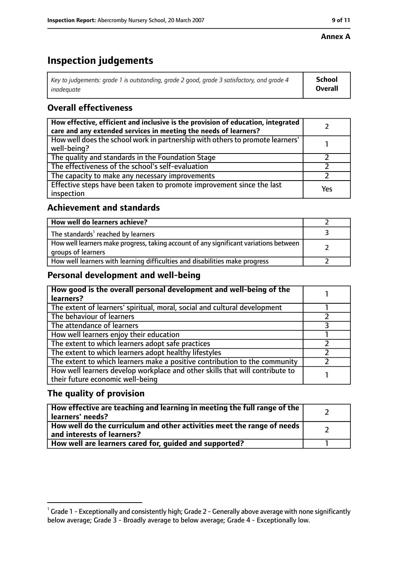#### **Annex A**

# **Inspection judgements**

| Key to judgements: grade 1 is outstanding, grade 2 good, grade 3 satisfactory, and grade 4 $\,$ | <b>School</b>  |
|-------------------------------------------------------------------------------------------------|----------------|
| inadequate                                                                                      | <b>Overall</b> |

## **Overall effectiveness**

| How effective, efficient and inclusive is the provision of education, integrated<br>care and any extended services in meeting the needs of learners? |     |
|------------------------------------------------------------------------------------------------------------------------------------------------------|-----|
| How well does the school work in partnership with others to promote learners'<br>well-being?                                                         |     |
| The quality and standards in the Foundation Stage                                                                                                    |     |
| The effectiveness of the school's self-evaluation                                                                                                    |     |
| The capacity to make any necessary improvements                                                                                                      |     |
| Effective steps have been taken to promote improvement since the last<br>inspection                                                                  | Yes |

## **Achievement and standards**

| How well do learners achieve?                                                                               |  |
|-------------------------------------------------------------------------------------------------------------|--|
| The standards <sup>1</sup> reached by learners                                                              |  |
| How well learners make progress, taking account of any significant variations between<br>groups of learners |  |
| How well learners with learning difficulties and disabilities make progress                                 |  |

## **Personal development and well-being**

| How good is the overall personal development and well-being of the<br>learners?                                  |  |
|------------------------------------------------------------------------------------------------------------------|--|
| The extent of learners' spiritual, moral, social and cultural development                                        |  |
| The behaviour of learners                                                                                        |  |
| The attendance of learners                                                                                       |  |
| How well learners enjoy their education                                                                          |  |
| The extent to which learners adopt safe practices                                                                |  |
| The extent to which learners adopt healthy lifestyles                                                            |  |
| The extent to which learners make a positive contribution to the community                                       |  |
| How well learners develop workplace and other skills that will contribute to<br>their future economic well-being |  |

## **The quality of provision**

| How effective are teaching and learning in meeting the full range of the<br>learners' needs?          |  |
|-------------------------------------------------------------------------------------------------------|--|
| How well do the curriculum and other activities meet the range of needs<br>and interests of learners? |  |
| How well are learners cared for, quided and supported?                                                |  |

 $^1$  Grade 1 - Exceptionally and consistently high; Grade 2 - Generally above average with none significantly below average; Grade 3 - Broadly average to below average; Grade 4 - Exceptionally low.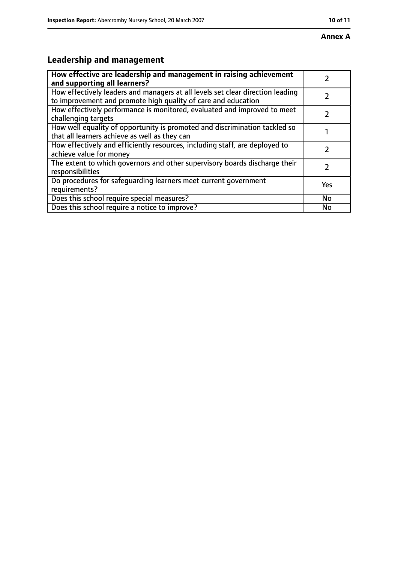# **Leadership and management**

| How effective are leadership and management in raising achievement<br>and supporting all learners?                                              |               |
|-------------------------------------------------------------------------------------------------------------------------------------------------|---------------|
| How effectively leaders and managers at all levels set clear direction leading<br>to improvement and promote high quality of care and education |               |
| How effectively performance is monitored, evaluated and improved to meet<br>challenging targets                                                 |               |
| How well equality of opportunity is promoted and discrimination tackled so<br>that all learners achieve as well as they can                     |               |
| How effectively and efficiently resources, including staff, are deployed to<br>achieve value for money                                          | 7             |
| The extent to which governors and other supervisory boards discharge their<br>responsibilities                                                  | $\mathcal{L}$ |
| Do procedures for safequarding learners meet current government<br>requirements?                                                                | Yes           |
| Does this school require special measures?                                                                                                      | No            |
| Does this school require a notice to improve?                                                                                                   | No            |